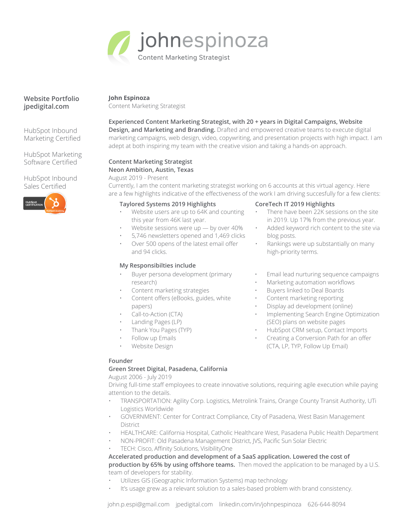

## **Website Portfolio [jpedigital.com](https://www.jpedigital.com/)**

HubSpot Inbound Marketing Certified

HubSpot Marketing Software Certified

HubSpot Inbound Sales Certified



#### **John Espinoza**

Content Marketing Strategist

#### **Experienced Content Marketing Strategist, with 20 + years in Digital Campaigns, Website Design, and Marketing and Branding.** Drafted and empowered creative teams to execute digital marketing campaigns, web design, video, copywriting, and presentation projects with high impact. I am adept at both inspiring my team with the creative vision and taking a hands-on approach.

# **Content Marketing Strategist Neon Ambition, Austin, Texas**

August 2019 - Present

Currently, I am the content marketing strategist working on 6 accounts at this virtual agency. Here are a few highlights indicative of the effectiveness of the work I am driving succesfully for a few clients:

## **Taylored Systems 2019 Highlights**

- Website users are up to 64K and counting this year from 46K last year.
- Website sessions were  $up by$  over 40%
- 5,746 newsletters opened and 1,469 clicks
- Over 500 opens of the latest email offer and 94 clicks.

## **My Responsibilties include**

- Buyer persona development (primary research)
- Content marketing strategies
- Content offers (eBooks, guides, white papers)
- Call-to-Action (CTA)
- Landing Pages (LP)
- Thank You Pages (TYP)
- Follow up Emails
- Website Design

## **CoreTech IT 2019 Highlights**

- There have been 22K sessions on the site in 2019. Up 17% from the previous year.
- Added keyword rich content to the site via blog posts.
- Rankings were up substantially on many high-priority terms.
- Email lead nurturing sequence campaigns
- Marketing automation workflows
- Buyers linked to Deal Boards
- Content marketing reporting
- Display ad development (online)
- Implementing Search Engine Optimization (SEO) plans on website pages
- HubSpot CRM setup, Contact Imports
- Creating a Conversion Path for an offer (CTA, LP, TYP, Follow Up Email)

## **Founder**

## **Green Street Digital, Pasadena, California**

August 2006 - July 2019

Driving full-time staff employees to create innovative solutions, requiring agile execution while paying attention to the details.

- TRANSPORTATION: Agility Corp. Logistics, Metrolink Trains, Orange County Transit Authority, UTi Logistics Worldwide
- GOVERNMENT: Center for Contract Compliance, City of Pasadena, West Basin Management District
- HEALTHCARE: California Hospital, Catholic Healthcare West, Pasadena Public Health Department
- NON-PROFIT: Old Pasadena Management District, JVS, Pacific Sun Solar Electric
- TECH: Cisco, Affinity Solutions, VisibilityOne

**Accelerated production and development of a SaaS application. Lowered the cost of production by 65% by using offshore teams.** Then moved the application to be managed by a U.S. team of developers for stability.

- Utilizes GIS (Geographic Information Systems) map technology
- It's usage grew as a relevant solution to a sales-based problem with brand consistency.